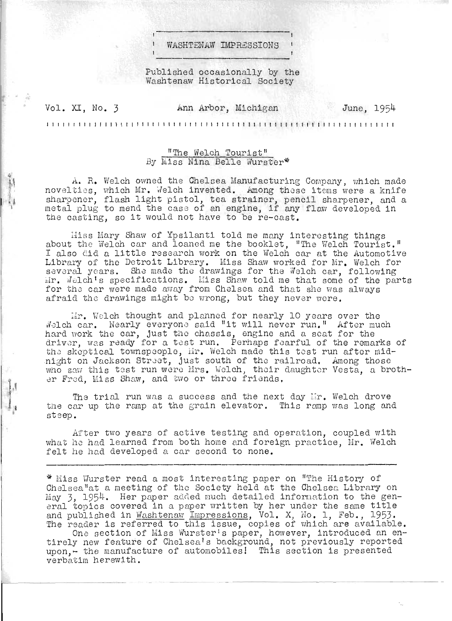WASHTENAW IMPRESSIONS

Published occasionally by the Washtenaw Historical Society

| Vol. XI, No. 3 | Ann Arbor, Michigan | June, 1954 |
|----------------|---------------------|------------|
|                |                     |            |

## liThe Welch Tourist" By Miss Nina Belle Wurster\*

A. R. Welch owned the Chelsea Manufacturing Company, which made novelties, which Mr. Welch invented. Among these items were a knife sharpener, flash light pistol, tea strainer, pencil sharpener, and a sharpener, flash light pistol, tea strainer, pencil sharpener, and<br>metal plug to mend the case of an engine, if any flaw developed in metal plug to mend the case of an engine, if any<br>the casting, so it would not have to be re-cast.

Hiss Mary Shaw of Ypsilanti told me many interesting things about the Welch car and loaned me the booklet, "The Welch Tourist." I also id a little research work on the Welch car at the Automotive Library of the Detroit Library. Miss Shaw worked for Mr. Welch for several years. She made the drawings for the Welch car, following  $\mathbb{R}$ r.  $\mathbb{R}$  elch's specifications. Miss Shaw told me that some of the parts for the car were made away from Chelsea and that she was always afraid the drawings might be wrong, but they never were.

:,Ir. Welch thought and planned for nearly 10 years over the Welch car. Nearly everyone said "it will never run." After much hard vork the car, just the chassis, engine and a seat for the driver, was ready for a test run. Perhaps fearful of the remarks of the skeptical townspeople, Hr. Welch made this test run after miding shop discult soundpooping, in , worsen made this copy fan areer mid who saw this test run were Mrs. Welch, their daughter Vesta, a brother Fred, Miss Shaw, and two or three friends.

The trial run was a success and the next day Mr. Welch drove the car up the ramp at the grain elevator. This ramp was long and st sep.

After two years of active testing and operation, coupled with what he had learned from both home and foreign practice. Mr. Welch felt he had developed a car second to none.

\* Miss Wurster read a most interesting paper on "The History of Chelsea"at a meeting of the Society held at the Chelsec. Library on relation at a modering of the secret, here at the choice from the general topics covered in a paper written by her under the same title and published in Washtenaw Impressions, Vol. X, No. 1, Feb., 1953. The reader is referred to this issue, copies of which are available.

One section of Miss Wurster's paper, however, introduced an entirely new feature of Chelsea's background, not previously reported upon, - the manufacture of automobiles! This section is presented verbatim herewith.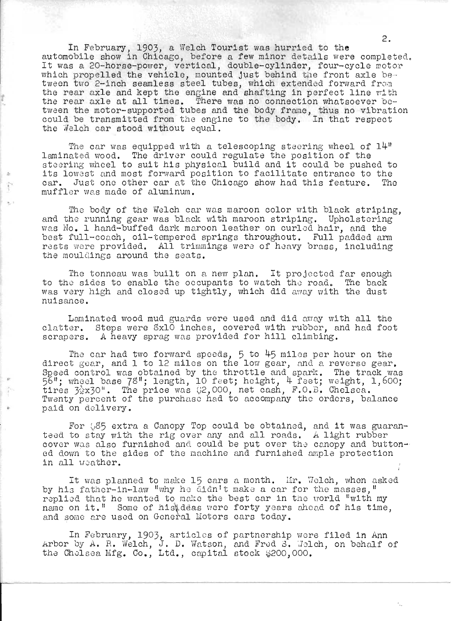In February, 1903, a Welch Tourist was hurried to the automobile show in Chicago, before a few minor details were completed. It was a 20-horse-power, vertical, double-cylinder, four-cycle motor which propelled the vehicle, mounted just behind the front axle between two 2-inch seamless steel tubes, which extended forward from the rear axle and kept the engine and shafting in perfect line with the rear axle at all times. There was no connection whatsoever between the motor-supported tubes and the body frame, thus no vibration could be transmitted from the engine to the body. In that respect the Welch car stood without equal.

*t* 

o  $\tilde{ }$ 

The car was equipped with a telescoping steering wheel of  $14$ <sup>11</sup> laminated wood. The driver could regulate the position of the steering wheel to suit his physical build and it could be pushed to its lowest and most forward position to facilitate entrance to the car. Just one other car at the Chicago show had this feature. Tho muffler was made of aluminum.

The body of the Welch car was maroon color with black striping, and the running gear was black with maroon striping. Upholstering vias No. 1 hand-buffed dark maroon leather on curled hair, and the best full-coach, oil-tempered springs throughout. Full padded arm rests were provided. All trimmings were of heavy brass, including the mouldings around the seats.

The tonneau was built on a new plan. It projected far enough to the sides to enable the occupants to watch the road. The back was very high and closed up tightly, which did away with the dust nuisance.

Laminated wood mud guards were used and did away with all the clatter. Steps were SxlO inches, covered with rUbber, and had foot scrapers. A heavy sprag was provided for hill climbing.

The car had two forward speeds,  $5$  to  $45$  miles per hour on the direct goar, and 1 to 12 miles on the low gear, and a reverse gear. Speed control was obtained by the throttle and spark. The track was 56"; wheel base 78"; length, 10 feet; height, 4 feet; weight, 1,600;  $\frac{1}{20}$ ,  $\frac{1}{2}$   $\frac{1}{2}$   $\frac{1}{2}$   $\frac{1}{2}$   $\frac{1}{2}$   $\frac{1}{2}$   $\frac{1}{2}$   $\frac{1}{2}$   $\frac{1}{2}$   $\frac{1}{2}$   $\frac{1}{2}$   $\frac{1}{2}$   $\frac{1}{2}$   $\frac{1}{2}$   $\frac{1}{2}$   $\frac{1}{2}$   $\frac{1}{2}$   $\frac{1}{2}$   $\frac{1}{2}$   $\frac{1}{2}$   $\frac{1}{2}$ Twenty percent of the purchaso had to accompany the ordors, balance paid on delivery.

For  $56$  extra a Canopy Top could be obtained, and it was guaranteod to stay with the rig over any and all roads. A light rubber cover was also furnished and could be put over the canopy and button-<br>ed down to the sides of the machine and furnished ample protection ed down to the sides of the machine and furnished ample protection in all weather.

It was planned to make 15 cars a month. Lir. Welch, when asked by his father-in-law "why he didn't make a car for the masses," replied that he wanted to make the best car in the world "with my name on it.<sup>"</sup> Some of histdeas were forty years ahead of his time, and some are used on General Motors cars today.

In February, 1903, articles of partnership wore filed in Ann Arbor by  $A$ . R. Welch, J. D. Watson, and Fred 3. Welch, on behalf of the Cholsea Mfg. Co., Ltd., capital stock  $$200,000$ .